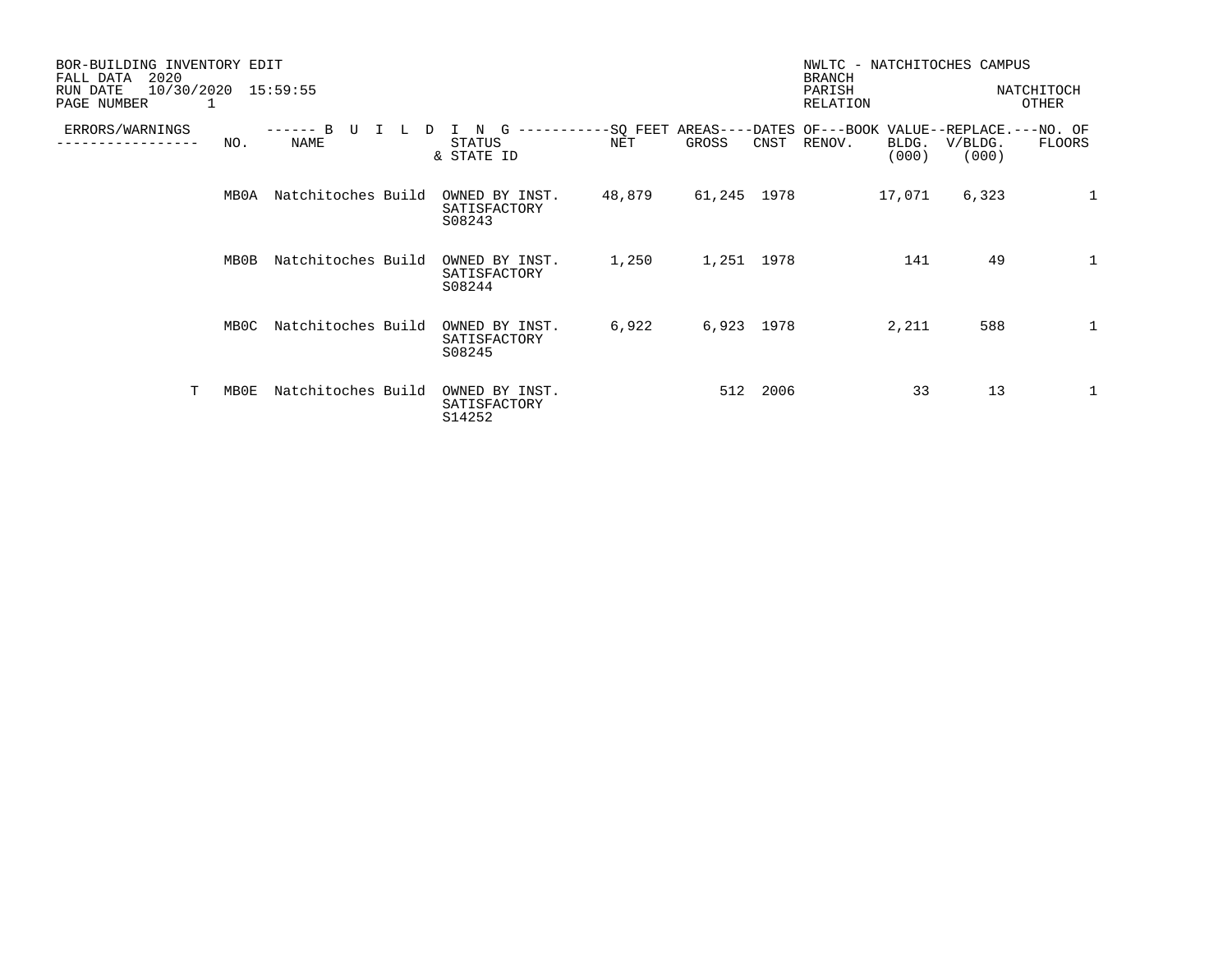| BOR-BUILDING INVENTORY EDIT<br>2020<br>FALL DATA<br>10/30/2020<br>15:59:55<br>RUN DATE<br>PAGE NUMBER<br>1 |      |                    |  |                                          |        |             |      | NWLTC - NATCHITOCHES CAMPUS<br><b>BRANCH</b><br>PARISH<br>NATCHITOCH<br>OTHER<br>RELATION |                |                  |              |
|------------------------------------------------------------------------------------------------------------|------|--------------------|--|------------------------------------------|--------|-------------|------|-------------------------------------------------------------------------------------------|----------------|------------------|--------------|
| ERRORS/WARNINGS                                                                                            | NO.  | $----$<br>NAME     |  | STATUS<br>& STATE ID                     | NET    | GROSS       | CNST | -SQ FEET AREAS----DATES OF---BOOK VALUE--REPLACE.---NO. OF<br>RENOV.                      | BLDG.<br>(000) | V/BLDG.<br>(000) | FLOORS       |
|                                                                                                            | MB0A | Natchitoches Build |  | OWNED BY INST.<br>SATISFACTORY<br>S08243 | 48,879 | 61,245 1978 |      |                                                                                           | 17,071         | 6,323            | $\mathbf{1}$ |
|                                                                                                            | MB0B | Natchitoches Build |  | OWNED BY INST.<br>SATISFACTORY<br>S08244 | 1,250  | 1,251 1978  |      |                                                                                           | 141            | 49               | 1            |
|                                                                                                            | MB0C | Natchitoches Build |  | OWNED BY INST.<br>SATISFACTORY<br>S08245 | 6,922  | 6,923 1978  |      |                                                                                           | 2,211          | 588              | $\mathbf 1$  |
| T                                                                                                          | MB0E | Natchitoches Build |  | OWNED BY INST.<br>SATISFACTORY<br>S14252 |        | 512         | 2006 |                                                                                           | 33             | 13               | 1            |